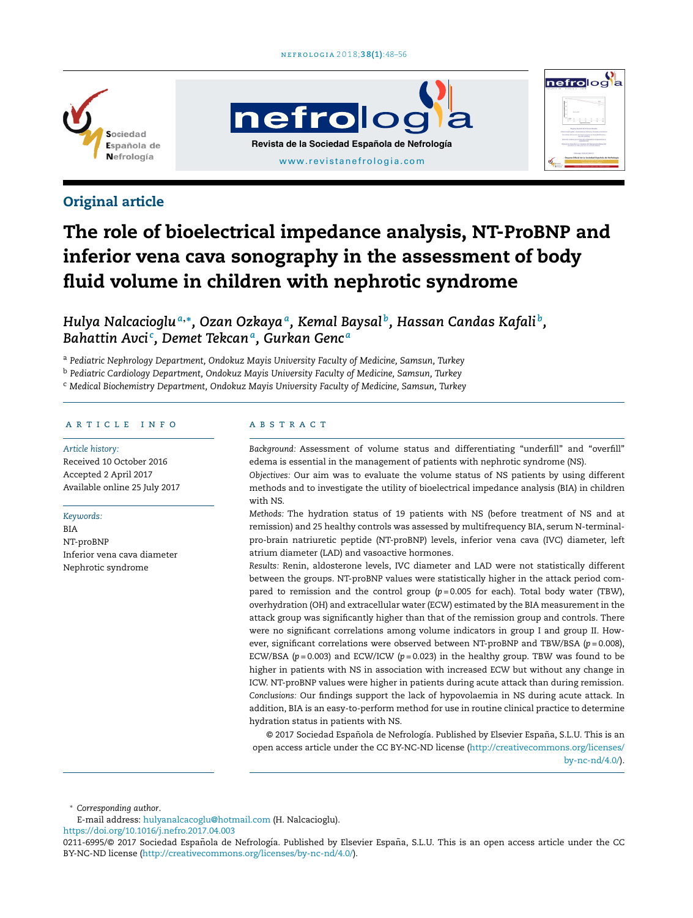

# nefrolog **Revista de la Sociedad Española de Nefrología** [www.revistanefrologia.com](http://www.revistanefrologia.com)



# Original article

# The role of bioelectrical impedance analysis, NT-ProBNP and inferior vena cava sonography in the assessment of body fluid volume in children with nephrotic syndrome

*Hulya Nalcacioglu<sup>a</sup>*,<sup>∗</sup> *, Ozan Ozkaya<sup>a</sup> , Kemal Baysal <sup>b</sup> , Hassan Candas Kafali <sup>b</sup> , Bahattin Avci <sup>c</sup> , Demet Tekcan<sup>a</sup> , Gurkan Genc <sup>a</sup>*

<sup>a</sup> *Pediatric Nephrology Department, Ondokuz Mayis University Faculty of Medicine, Samsun, Turkey*

<sup>b</sup> *Pediatric Cardiology Department, Ondokuz Mayis University Faculty of Medicine, Samsun, Turkey*

<sup>c</sup> *Medical Biochemistry Department, Ondokuz Mayis University Faculty of Medicine, Samsun, Turkey*

# a r t i c l e i n f o

*Article history:*

Received 10 October 2016 Accepted 2 April 2017 Available online 25 July 2017

#### *Keywords:*

BIA NT-proBNP Inferior vena cava diameter Nephrotic syndrome

### a b s t r a c t

*Background:* Assessment of volume status and differentiating "underfill" and "overfill" edema is essential in the management of patients with nephrotic syndrome (NS).

*Objectives:* Our aim was to evaluate the volume status of NS patients by using different methods and to investigate the utility of bioelectrical impedance analysis (BIA) in children with NS

*Methods:* The hydration status of 19 patients with NS (before treatment of NS and at remission) and 25 healthy controls was assessed by multifrequency BIA, serum N-terminalpro-brain natriuretic peptide (NT-proBNP) levels, inferior vena cava (IVC) diameter, left atrium diameter (LAD) and vasoactive hormones.

*Results:* Renin, aldosterone levels, IVC diameter and LAD were not statistically different between the groups. NT-proBNP values were statistically higher in the attack period compared to remission and the control group (*p* = 0.005 for each). Total body water (TBW), overhydration (OH) and extracellular water (ECW) estimated by the BIA measurement in the attack group was significantly higher than that of the remission group and controls. There were no significant correlations among volume indicators in group I and group II. However, significant correlations were observed between NT-proBNP and TBW/BSA (*p* = 0.008), ECW/BSA ( $p = 0.003$ ) and ECW/ICW ( $p = 0.023$ ) in the healthy group. TBW was found to be higher in patients with NS in association with increased ECW but without any change in ICW. NT-proBNP values were higher in patients during acute attack than during remission. *Conclusions:* Our findings support the lack of hypovolaemia in NS during acute attack. In addition, BIA is an easy-to-perform method for use in routine clinical practice to determine hydration status in patients with NS.

© 2017 Sociedad Española de Nefrología. Published by Elsevier España, S.L.U. This is an open access article under the CC BY-NC-ND license ([http://creativecommons.org/licenses/](http://creativecommons.org/licenses/by-nc-nd/4.0/) [by-nc-nd/4.0/](http://creativecommons.org/licenses/by-nc-nd/4.0/)).

<sup>∗</sup> *Corresponding author*.

E-mail address: [hulyanalcacoglu@hotmail.com](mailto:hulyanalcacoglu@hotmail.com) (H. Nalcacioglu).

<https://doi.org/10.1016/j.nefro.2017.04.003>

<sup>0211-6995/© 2017</sup> Sociedad Española de Nefrología. Published by Elsevier España, S.L.U. This is an open access article under the CC BY-NC-ND license [\(http://creativecommons.org/licenses/by-nc-nd/4.0/](http://creativecommons.org/licenses/by-nc-nd/4.0/)).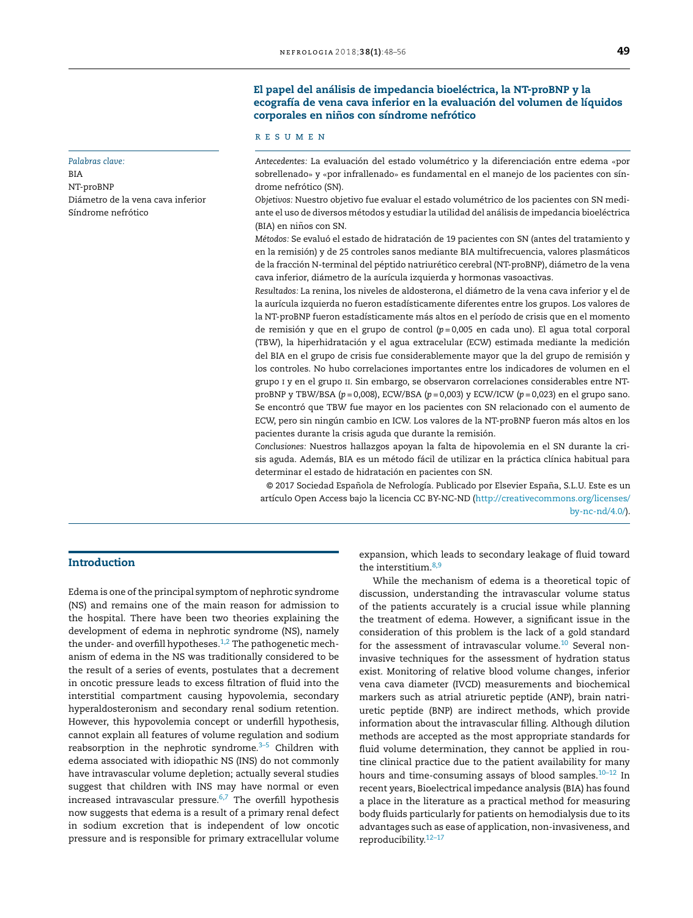# El papel del análisis de impedancia bioeléctrica, la NT-proBNP y la ecografía de vena cava inferior en la evaluación del volumen de líquidos corporales en niños con síndrome nefrótico

r e s u m e n

*Antecedentes:* La evaluación del estado volumétrico y la diferenciación entre edema «por sobrellenado» y «por infrallenado» es fundamental en el manejo de los pacientes con síndrome nefrótico (SN).

*Objetivos:* Nuestro objetivo fue evaluar el estado volumétrico de los pacientes con SN mediante el uso de diversos métodos y estudiar la utilidad del análisis de impedancia bioeléctrica (BIA) en niños con SN.

*Métodos:* Se evaluó el estado de hidratación de 19 pacientes con SN (antes del tratamiento y en la remisión) y de 25 controles sanos mediante BIA multifrecuencia, valores plasmáticos de la fracción N-terminal del péptido natriurético cerebral (NT-proBNP), diámetro de la vena cava inferior, diámetro de la aurícula izquierda y hormonas vasoactivas.

*Resultados:* La renina, los niveles de aldosterona, el diámetro de la vena cava inferior y el de la aurícula izquierda no fueron estadísticamente diferentes entre los grupos. Los valores de la NT-proBNP fueron estadísticamente más altos en el período de crisis que en el momento de remisión y que en el grupo de control (*p* = 0,005 en cada uno). El agua total corporal (TBW), la hiperhidratación y el agua extracelular (ECW) estimada mediante la medición del BIA en el grupo de crisis fue considerablemente mayor que la del grupo de remisión y los controles. No hubo correlaciones importantes entre los indicadores de volumen en el grupo I y en el grupo II. Sin embargo, se observaron correlaciones considerables entre NTproBNP y TBW/BSA (*p* = 0,008), ECW/BSA (*p* = 0,003) y ECW/ICW (*p* = 0,023) en el grupo sano. Se encontró que TBW fue mayor en los pacientes con SN relacionado con el aumento de ECW, pero sin ningún cambio en ICW. Los valores de la NT-proBNP fueron más altos en los pacientes durante la crisis aguda que durante la remisión.

*Conclusiones:* Nuestros hallazgos apoyan la falta de hipovolemia en el SN durante la crisis aguda. Además, BIA es un método fácil de utilizar en la práctica clínica habitual para determinar el estado de hidratación en pacientes con SN.

© 2017 Sociedad Española de Nefrología. Publicado por Elsevier España, S.L.U. Este es un artículo Open Access bajo la licencia CC BY-NC-ND ([http://creativecommons.org/licenses/](http://creativecommons.org/licenses/by-nc-nd/4.0/) [by-nc-nd/4.0/](http://creativecommons.org/licenses/by-nc-nd/4.0/)).

# Introduction

*Palabras clave:*

Síndrome nefrótico

Diámetro de la vena cava inferior

BIA NT-proBNP

Edema is one of the principal symptom of nephrotic syndrome (NS) and remains one of the main reason for admission to the hospital. There have been two theories explaining the development of edema in nephrotic syndrome (NS), namely the under- and overfill hypotheses.<sup>[1,2](#page-7-0)</sup> The pathogenetic mechanism of edema in the NS was traditionally considered to be the result of a series of events, postulates that a decrement in oncotic pressure leads to excess filtration of fluid into the interstitial compartment causing hypovolemia, secondary hyperaldosteronism and secondary renal sodium retention. However, this hypovolemia concept or underfill hypothesis, cannot explain all features of volume regulation and sodium reabsorption in the nephrotic syndrome.<sup>3-5</sup> Children with edema associated with idiopathic NS (INS) do not commonly have intravascular volume depletion; actually several studies suggest that children with INS may have normal or even increased intravascular pressure. $6,7$  The overfill hypothesis now suggests that edema is a result of a primary renal defect in sodium excretion that is independent of low oncotic pressure and is responsible for primary extracellular volume

expansion, which leads to secondary leakage of fluid toward the interstitium.<sup>[8,9](#page-7-0)</sup>

While the mechanism of edema is a theoretical topic of discussion, understanding the intravascular volume status of the patients accurately is a crucial issue while planning the treatment of edema. However, a significant issue in the consideration of this problem is the lack of a gold standard for the assessment of intravascular volume. $10$  Several noninvasive techniques for the assessment of hydration status exist. Monitoring of relative blood volume changes, inferior vena cava diameter (IVCD) measurements and biochemical markers such as atrial atriuretic peptide (ANP), brain natriuretic peptide (BNP) are indirect methods, which provide information about the intravascular filling. Although dilution methods are accepted as the most appropriate standards for fluid volume determination, they cannot be applied in routine clinical practice due to the patient availability for many hours and time-consuming assays of blood samples. $10-12$  In recent years, Bioelectrical impedance analysis (BIA) has found a place in the literature as a practical method for measuring body fluids particularly for patients on hemodialysis due to its advantages such as ease of application, non-invasiveness, and reproducibility.[12–17](#page-7-0)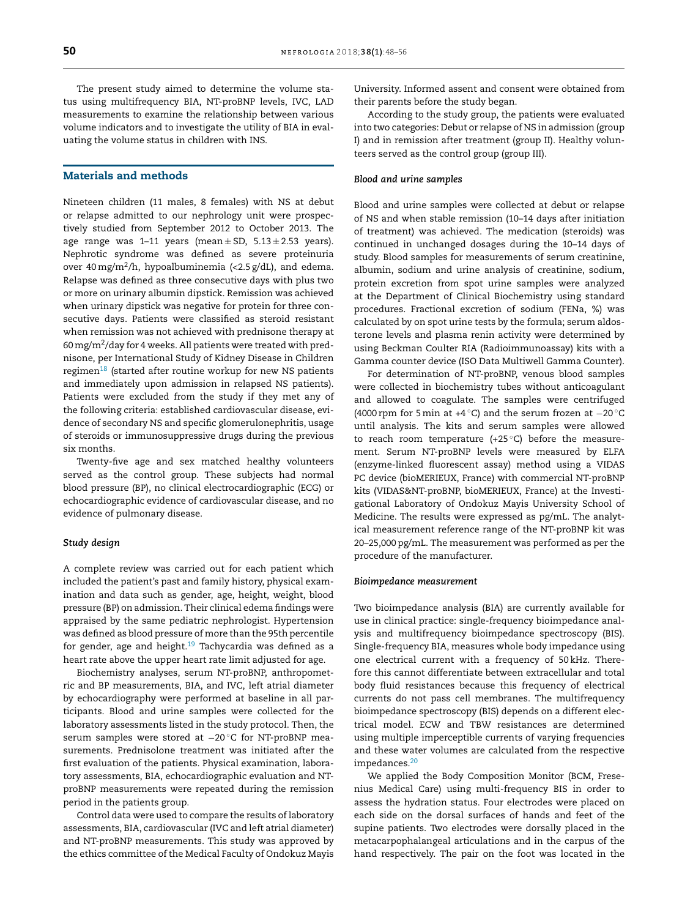The present study aimed to determine the volume status using multifrequency BIA, NT-proBNP levels, IVC, LAD measurements to examine the relationship between various volume indicators and to investigate the utility of BIA in evaluating the volume status in children with INS.

# Materials and methods

Nineteen children (11 males, 8 females) with NS at debut or relapse admitted to our nephrology unit were prospectively studied from September 2012 to October 2013. The age range was 1-11 years (mean  $\pm$  SD, 5.13  $\pm$  2.53 years). Nephrotic syndrome was defined as severe proteinuria over 40mg/m<sup>2</sup> /h, hypoalbuminemia (<2.5 g/dL), and edema. Relapse was defined as three consecutive days with plus two or more on urinary albumin dipstick. Remission was achieved when urinary dipstick was negative for protein for three consecutive days. Patients were classified as steroid resistant when remission was not achieved with prednisone therapy at 60 mg/m $^2$ /day for 4 weeks. All patients were treated with prednisone, per International Study of Kidney Disease in Children regimen $18$  (started after routine workup for new NS patients and immediately upon admission in relapsed NS patients). Patients were excluded from the study if they met any of the following criteria: established cardiovascular disease, evidence of secondary NS and specific glomerulonephritis, usage of steroids or immunosuppressive drugs during the previous six months.

Twenty-five age and sex matched healthy volunteers served as the control group. These subjects had normal blood pressure (BP), no clinical electrocardiographic (ECG) or echocardiographic evidence of cardiovascular disease, and no evidence of pulmonary disease.

#### *Study design*

A complete review was carried out for each patient which included the patient's past and family history, physical examination and data such as gender, age, height, weight, blood pressure (BP) on admission. Their clinical edema findings were appraised by the same pediatric nephrologist. Hypertension was defined as blood pressure of more than the 95th percentile for gender, age and height.<sup>[19](#page-8-0)</sup> Tachycardia was defined as a heart rate above the upper heart rate limit adjusted for age.

Biochemistry analyses, serum NT-proBNP, anthropometric and BP measurements, BIA, and IVC, left atrial diameter by echocardiography were performed at baseline in all participants. Blood and urine samples were collected for the laboratory assessments listed in the study protocol. Then, the serum samples were stored at −20 °C for NT-proBNP measurements. Prednisolone treatment was initiated after the first evaluation of the patients. Physical examination, laboratory assessments, BIA, echocardiographic evaluation and NTproBNP measurements were repeated during the remission period in the patients group.

Control data were used to compare the results of laboratory assessments, BIA, cardiovascular (IVC and left atrial diameter) and NT-proBNP measurements. This study was approved by the ethics committee of the Medical Faculty of Ondokuz Mayis

University. Informed assent and consent were obtained from their parents before the study began.

According to the study group, the patients were evaluated into two categories: Debut or relapse of NS in admission (group I) and in remission after treatment (group II). Healthy volunteers served as the control group (group III).

#### *Blood and urine samples*

Blood and urine samples were collected at debut or relapse of NS and when stable remission (10–14 days after initiation of treatment) was achieved. The medication (steroids) was continued in unchanged dosages during the 10–14 days of study. Blood samples for measurements of serum creatinine, albumin, sodium and urine analysis of creatinine, sodium, protein excretion from spot urine samples were analyzed at the Department of Clinical Biochemistry using standard procedures. Fractional excretion of sodium (FENa, %) was calculated by on spot urine tests by the formula; serum aldosterone levels and plasma renin activity were determined by using Beckman Coulter RIA (Radioimmunoassay) kits with a Gamma counter device (ISO Data Multiwell Gamma Counter).

For determination of NT-proBNP, venous blood samples were collected in biochemistry tubes without anticoagulant and allowed to coagulate. The samples were centrifuged (4000 rpm for 5min at +4 ◦C) and the serum frozen at −20 ◦C until analysis. The kits and serum samples were allowed to reach room temperature (+25 $\degree$ C) before the measurement. Serum NT-proBNP levels were measured by ELFA (enzyme-linked fluorescent assay) method using a VIDAS PC device (bioMERIEUX, France) with commercial NT-proBNP kits (VIDAS&NT-proBNP, bioMERIEUX, France) at the Investigational Laboratory of Ondokuz Mayis University School of Medicine. The results were expressed as pg/mL. The analytical measurement reference range of the NT-proBNP kit was 20–25,000 pg/mL. The measurement was performed as per the procedure of the manufacturer.

### *Bioimpedance measurement*

Two bioimpedance analysis (BIA) are currently available for use in clinical practice: single-frequency bioimpedance analysis and multifrequency bioimpedance spectroscopy (BIS). Single-frequency BIA, measures whole body impedance using one electrical current with a frequency of 50 kHz. Therefore this cannot differentiate between extracellular and total body fluid resistances because this frequency of electrical currents do not pass cell membranes. The multifrequency bioimpedance spectroscopy (BIS) depends on a different electrical model. ECW and TBW resistances are determined using multiple imperceptible currents of varying frequencies and these water volumes are calculated from the respective impedances.<sup>[20](#page-8-0)</sup>

We applied the Body Composition Monitor (BCM, Fresenius Medical Care) using multi-frequency BIS in order to assess the hydration status. Four electrodes were placed on each side on the dorsal surfaces of hands and feet of the supine patients. Two electrodes were dorsally placed in the metacarpophalangeal articulations and in the carpus of the hand respectively. The pair on the foot was located in the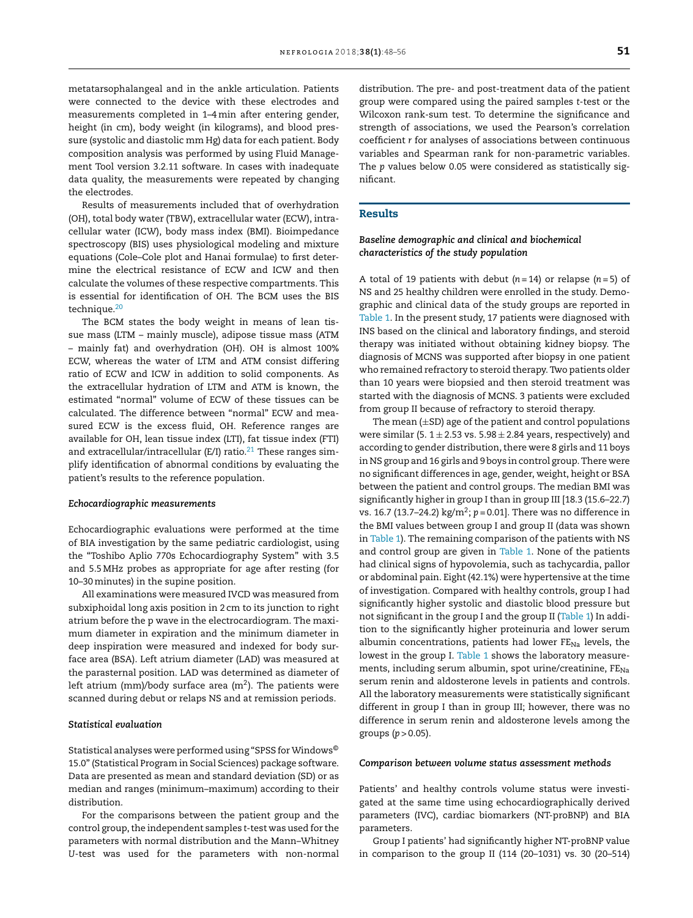metatarsophalangeal and in the ankle articulation. Patients were connected to the device with these electrodes and measurements completed in 1–4min after entering gender, height (in cm), body weight (in kilograms), and blood pressure (systolic and diastolic mm Hg) data for each patient. Body composition analysis was performed by using Fluid Management Tool version 3.2.11 software. In cases with inadequate data quality, the measurements were repeated by changing the electrodes.

Results of measurements included that of overhydration (OH), total body water (TBW), extracellular water (ECW), intracellular water (ICW), body mass index (BMI). Bioimpedance spectroscopy (BIS) uses physiological modeling and mixture equations (Cole–Cole plot and Hanai formulae) to first determine the electrical resistance of ECW and ICW and then calculate the volumes of these respective compartments. This is essential for identification of OH. The BCM uses the BIS technique.<sup>[20](#page-8-0)</sup>

The BCM states the body weight in means of lean tissue mass (LTM – mainly muscle), adipose tissue mass (ATM – mainly fat) and overhydration (OH). OH is almost 100% ECW, whereas the water of LTM and ATM consist differing ratio of ECW and ICW in addition to solid components. As the extracellular hydration of LTM and ATM is known, the estimated "normal" volume of ECW of these tissues can be calculated. The difference between "normal" ECW and measured ECW is the excess fluid, OH. Reference ranges are available for OH, lean tissue index (LTI), fat tissue index (FTI) and extracellular/intracellular (E/I) ratio. $21$  These ranges simplify identification of abnormal conditions by evaluating the patient's results to the reference population.

#### *Echocardiographic measurements*

Echocardiographic evaluations were performed at the time of BIA investigation by the same pediatric cardiologist, using the "Toshibo Aplio 770s Echocardiography System" with 3.5 and 5.5 MHz probes as appropriate for age after resting (for 10–30minutes) in the supine position.

All examinations were measured IVCD was measured from subxiphoidal long axis position in 2 cm to its junction to right atrium before the p wave in the electrocardiogram. The maximum diameter in expiration and the minimum diameter in deep inspiration were measured and indexed for body surface area (BSA). Left atrium diameter (LAD) was measured at the parasternal position. LAD was determined as diameter of left atrium (mm)/body surface area (m $^2$ ). The patients were scanned during debut or relaps NS and at remission periods.

#### *Statistical evaluation*

Statistical analyses were performed using "SPSS for Windows® 15.0" (Statistical Program in Social Sciences) package software. Data are presented as mean and standard deviation (SD) or as median and ranges (minimum–maximum) according to their distribution.

For the comparisons between the patient group and the control group, the independent samples *t*-test was used for the parameters with normal distribution and the Mann–Whitney *U*-test was used for the parameters with non-normal

distribution. The pre- and post-treatment data of the patient group were compared using the paired samples *t*-test or the Wilcoxon rank-sum test. To determine the significance and strength of associations, we used the Pearson's correlation coefficient *r* for analyses of associations between continuous variables and Spearman rank for non-parametric variables. The *p* values below 0.05 were considered as statistically significant.

#### Results

# *Baseline demographic and clinical and biochemical characteristics of the study population*

A total of 19 patients with debut  $(n=14)$  or relapse  $(n=5)$  of NS and 25 healthy children were enrolled in the study. Demographic and clinical data of the study groups are reported in [Table](#page-4-0) 1. In the present study, 17 patients were diagnosed with INS based on the clinical and laboratory findings, and steroid therapy was initiated without obtaining kidney biopsy. The diagnosis of MCNS was supported after biopsy in one patient who remained refractory to steroid therapy. Two patients older than 10 years were biopsied and then steroid treatment was started with the diagnosis of MCNS. 3 patients were excluded from group II because of refractory to steroid therapy.

The mean  $(\pm SD)$  age of the patient and control populations were similar (5.  $1 \pm 2.53$  vs.  $5.98 \pm 2.84$  years, respectively) and according to gender distribution, there were 8 girls and 11 boys in NS group and 16 girls and 9 boys in control group. There were no significant differences in age, gender, weight, height or BSA between the patient and control groups. The median BMI was significantly higher in group I than in group III [18.3 (15.6–22.7) vs. 16.7 (13.7–24.2) kg/m<sup>2</sup> ; *p* = 0.01]. There was no difference in the BMI values between group I and group II (data was shown in [Table](#page-4-0) 1). The remaining comparison of the patients with NS and control group are given in [Table](#page-4-0) 1. None of the patients had clinical signs of hypovolemia, such as tachycardia, pallor or abdominal pain. Eight (42.1%) were hypertensive at the time of investigation. Compared with healthy controls, group I had significantly higher systolic and diastolic blood pressure but not significant in the group I and the group II [\(Table](#page-4-0) 1) In addition to the significantly higher proteinuria and lower serum albumin concentrations, patients had lower  $FE_{Na}$  levels, the lowest in the group I. [Table](#page-4-0) 1 shows the laboratory measurements, including serum albumin, spot urine/creatinine,  $FE_{Na}$ serum renin and aldosterone levels in patients and controls. All the laboratory measurements were statistically significant different in group I than in group III; however, there was no difference in serum renin and aldosterone levels among the groups (*p* > 0.05).

#### *Comparison between volume status assessment methods*

Patients' and healthy controls volume status were investigated at the same time using echocardiographically derived parameters (IVC), cardiac biomarkers (NT-proBNP) and BIA parameters.

Group I patients' had significantly higher NT-proBNP value in comparison to the group II (114 (20–1031) vs. 30 (20–514)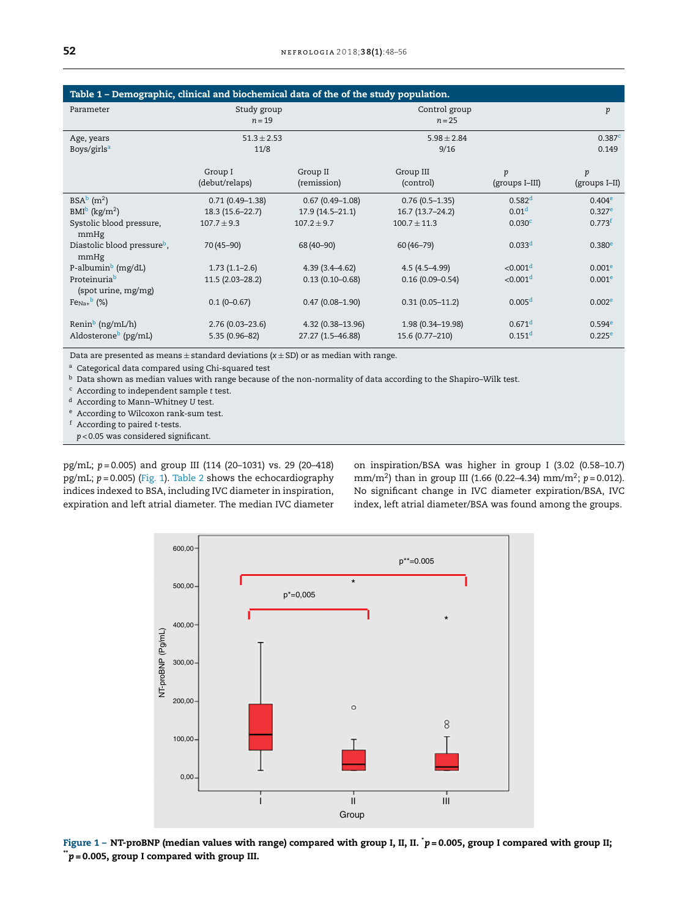<span id="page-4-0"></span>

| Table 1 - Demographic, clinical and biochemical data of the of the study population. |                           |                         |                           |                      |                                   |  |  |  |  |
|--------------------------------------------------------------------------------------|---------------------------|-------------------------|---------------------------|----------------------|-----------------------------------|--|--|--|--|
| Parameter                                                                            | Study group<br>$n = 19$   |                         | Control group<br>$n = 25$ |                      | p                                 |  |  |  |  |
|                                                                                      |                           |                         |                           |                      |                                   |  |  |  |  |
| Age, years                                                                           | $51.3 \pm 2.53$           |                         | $5.98 \pm 2.84$           |                      | 0.387c                            |  |  |  |  |
| Boys/girls <sup>a</sup>                                                              | 11/8                      |                         | 9/16                      |                      | 0.149                             |  |  |  |  |
|                                                                                      | Group I<br>(debut/relaps) | Group II<br>(remission) | Group III<br>(control)    | p<br>(groups I–III)  | $\boldsymbol{p}$<br>(groups I–II) |  |  |  |  |
| $BSAb$ (m <sup>2</sup> )                                                             | $0.71(0.49 - 1.38)$       | $0.67(0.49 - 1.08)$     | $0.76(0.5-1.35)$          | 0.582 <sup>d</sup>   | $0.404^{\rm e}$                   |  |  |  |  |
| $BMI^b$ (kg/m <sup>2</sup> )                                                         | 18.3 (15.6-22.7)          | 17.9 (14.5-21.1)        | $16.7(13.7-24.2)$         | 0.01 <sup>d</sup>    | $0.327$ <sup>e</sup>              |  |  |  |  |
| Systolic blood pressure,<br>mmHg                                                     | $107.7 + 9.3$             | $107.2 + 9.7$           | $100.7 \pm 11.3$          | 0.030 <sup>c</sup>   | 0.773 <sup>f</sup>                |  |  |  |  |
| Diastolic blood pressure <sup>b</sup> ,<br>mmHg                                      | 70 (45-90)                | 68 (40-90)              | $60(46 - 79)$             | 0.033 <sup>d</sup>   | 0.380e                            |  |  |  |  |
| P-albumin <sup>b</sup> (mg/dL)                                                       | $1.73(1.1-2.6)$           | $4.39(3.4 - 4.62)$      | $4.5(4.5-4.99)$           | < 0.001 <sup>d</sup> | 0.001 <sup>e</sup>                |  |  |  |  |
| Proteinuria <sup>b</sup><br>(spot urine, mg/mg)                                      | $11.5(2.03 - 28.2)$       | $0.13(0.10 - 0.68)$     | $0.16(0.09 - 0.54)$       | < 0.001 <sup>d</sup> | 0.001 <sup>e</sup>                |  |  |  |  |
| $Fe_{Na+}^b$ (%)                                                                     | $0.1(0-0.67)$             | $0.47(0.08 - 1.90)$     | $0.31(0.05 - 11.2)$       | 0.005 <sup>d</sup>   | 0.002 <sup>e</sup>                |  |  |  |  |
| Renin <sup>b</sup> (ng/mL/h)                                                         | $2.76(0.03 - 23.6)$       | 4.32 (0.38-13.96)       | 1.98 (0.34-19.98)         | 0.671 <sup>d</sup>   | 0.594e                            |  |  |  |  |
| Aldosterone <sup>b</sup> (pg/mL)                                                     | $5.35(0.96 - 82)$         | 27.27 (1.5-46.88)       | 15.6 (0.77-210)           | $0.151^d$            | $0.225^{\rm e}$                   |  |  |  |  |

Data are presented as means  $\pm$  standard deviations ( $x \pm SD$ ) or as median with range.

a Categorical data compared using Chi-squared test

<sup>b</sup> Data shown as median values with range because of the non-normality of data according to the Shapiro–Wilk test.

<sup>c</sup> According to independent sample *t* test.

<sup>d</sup> According to Mann–Whitney *U* test.

<sup>e</sup> According to Wilcoxon rank-sum test.

<sup>f</sup> According to paired *t*-tests.

*p* < 0.05 was considered significant.

pg/mL; *p* = 0.005) and group III (114 (20–1031) vs. 29 (20–418) pg/mL; *p* = 0.005) (Fig. 1). [Table](#page-5-0) 2 shows the echocardiography indices indexed to BSA, including IVC diameter in inspiration, expiration and left atrial diameter. The median IVC diameter

on inspiration/BSA was higher in group I (3.02 (0.58–10.7) mm/m<sup>2</sup> ) than in group III (1.66 (0.22–4.34) mm/m<sup>2</sup> ; *p* = 0.012). No significant change in IVC diameter expiration/BSA, IVC index, left atrial diameter/BSA was found among the groups.



Figure 1 – NT-proBNP (median values with range) compared with group I, II, II. <sup>\*</sup>p=0.005, group I compared with group II; \*\**p* = 0.005, group I compared with group III.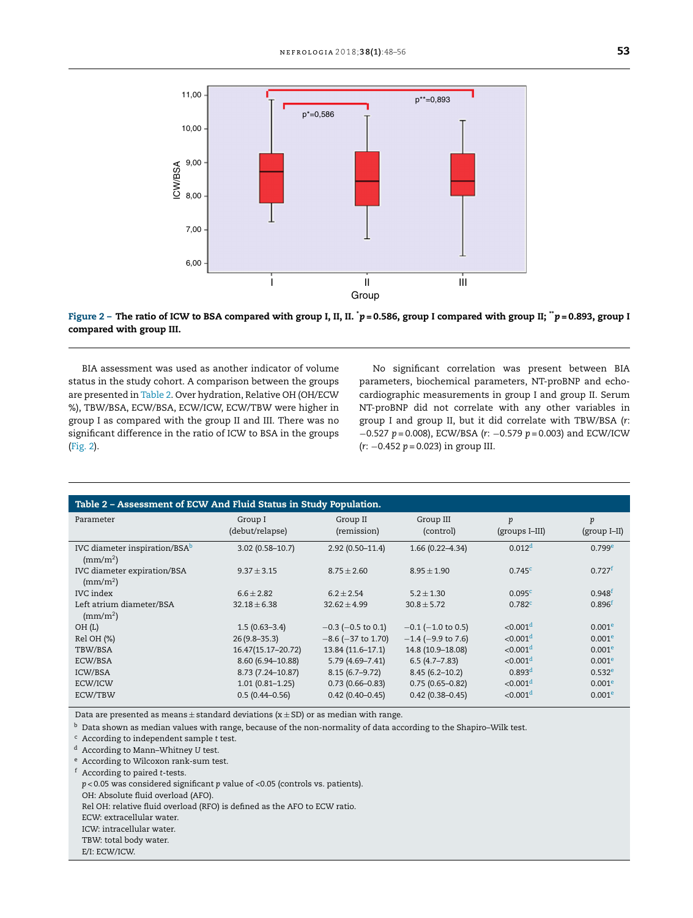<span id="page-5-0"></span>

# Figure 2 – The ratio of ICW to BSA compared with group I, II, II.  $\dot{p} = 0.586$ , group I compared with group II;  $\dddot{p} = 0.893$ , group I compared with group III.

BIA assessment was used as another indicator of volume status in the study cohort. A comparison between the groups are presented in Table 2. Over hydration, Relative OH (OH/ECW %), TBW/BSA, ECW/BSA, ECW/ICW, ECW/TBW were higher in group I as compared with the group II and III. There was no significant difference in the ratio of ICW to BSA in the groups (Fig. 2).

No significant correlation was present between BIA parameters, biochemical parameters, NT-proBNP and echocardiographic measurements in group I and group II. Serum NT-proBNP did not correlate with any other variables in group I and group II, but it did correlate with TBW/BSA (*r*: −0.527 *p* = 0.008), ECW/BSA (*r*: −0.579 *p* = 0.003) and ECW/ICW (*r*: −0.452 *p* = 0.023) in group III.

| Table 2 - Assessment of ECW And Fluid Status in Study Population. |                            |                         |                        |                      |                                  |  |  |  |  |
|-------------------------------------------------------------------|----------------------------|-------------------------|------------------------|----------------------|----------------------------------|--|--|--|--|
| Parameter                                                         | Group I<br>(debut/relapse) | Group II<br>(remission) | Group III<br>(control) | p<br>(groups I–III)  | $\boldsymbol{p}$<br>(group I–II) |  |  |  |  |
| IVC diameter inspiration/BSA <sup>b</sup><br>$\rm (mm/m^2)$       | $3.02(0.58 - 10.7)$        | $2.92(0.50-11.4)$       | $1.66(0.22 - 4.34)$    | 0.012 <sup>d</sup>   | 0.799e                           |  |  |  |  |
| IVC diameter expiration/BSA<br>$\rm (mm/m^2)$                     | $9.37 \pm 3.15$            | $8.75 \pm 2.60$         | $8.95 \pm 1.90$        | 0.745c               | $0.727$ <sup>f</sup>             |  |  |  |  |
| <b>IVC</b> index                                                  | $6.6 \pm 2.82$             | $6.2 \pm 2.54$          | $5.2 \pm 1.30$         | 0.095 <sup>c</sup>   | 0.948 <sup>f</sup>               |  |  |  |  |
| Left atrium diameter/BSA<br>$\rm (mm/m^2)$                        | $32.18 \pm 6.38$           | $32.62 \pm 4.99$        | $30.8 \pm 5.72$        | 0.782c               | 0.896 <sup>f</sup>               |  |  |  |  |
| OH (L)                                                            | $1.5(0.63-3.4)$            | $-0.3$ ( $-0.5$ to 0.1) | $-0.1$ (-1.0 to 0.5)   | < 0.001 <sup>d</sup> | 0.001 <sup>e</sup>               |  |  |  |  |
| Rel OH (%)                                                        | $26(9.8 - 35.3)$           | $-8.6$ ( $-37$ to 1.70) | $-1.4$ (-9.9 to 7.6)   | < 0.001 <sup>d</sup> | 0.001 <sup>e</sup>               |  |  |  |  |
| TBW/BSA                                                           | 16.47(15.17-20.72)         | 13.84 (11.6-17.1)       | 14.8 (10.9-18.08)      | < 0.001 <sup>d</sup> | 0.001 <sup>e</sup>               |  |  |  |  |
| ECW/BSA                                                           | 8.60 (6.94-10.88)          | 5.79 (4.69-7.41)        | $6.5(4.7 - 7.83)$      | < 0.001 <sup>d</sup> | 0.001 <sup>e</sup>               |  |  |  |  |
| <b>ICW/BSA</b>                                                    | 8.73 (7.24-10.87)          | $8.15(6.7-9.72)$        | $8.45(6.2 - 10.2)$     | 0.893 <sup>d</sup>   | 0.532 <sup>e</sup>               |  |  |  |  |
| ECW/ICW                                                           | $1.01(0.81 - 1.25)$        | $0.73(0.66 - 0.83)$     | $0.75(0.65 - 0.82)$    | < 0.001 <sup>d</sup> | 0.001 <sup>e</sup>               |  |  |  |  |
| ECW/TBW                                                           | $0.5(0.44 - 0.56)$         | $0.42(0.40 - 0.45)$     | $0.42(0.38 - 0.45)$    | < 0.001 <sup>d</sup> | 0.001 <sup>e</sup>               |  |  |  |  |

Data are presented as means  $\pm$  standard deviations ( $x \pm SD$ ) or as median with range.

 $b$  Data shown as median values with range, because of the non-normality of data according to the Shapiro–Wilk test.

<sup>c</sup> According to independent sample *t* test.

<sup>d</sup> According to Mann–Whitney *U* test.

<sup>e</sup> According to Wilcoxon rank-sum test.

<sup>f</sup> According to paired *t*-tests.

*p* < 0.05 was considered significant *p* value of <0.05 (controls vs. patients).

OH: Absolute fluid overload (AFO).

Rel OH: relative fluid overload (RFO) is defined as the AFO to ECW ratio.

ECW: extracellular water.

ICW: intracellular water.

TBW: total body water.

E/I: ECW/ICW.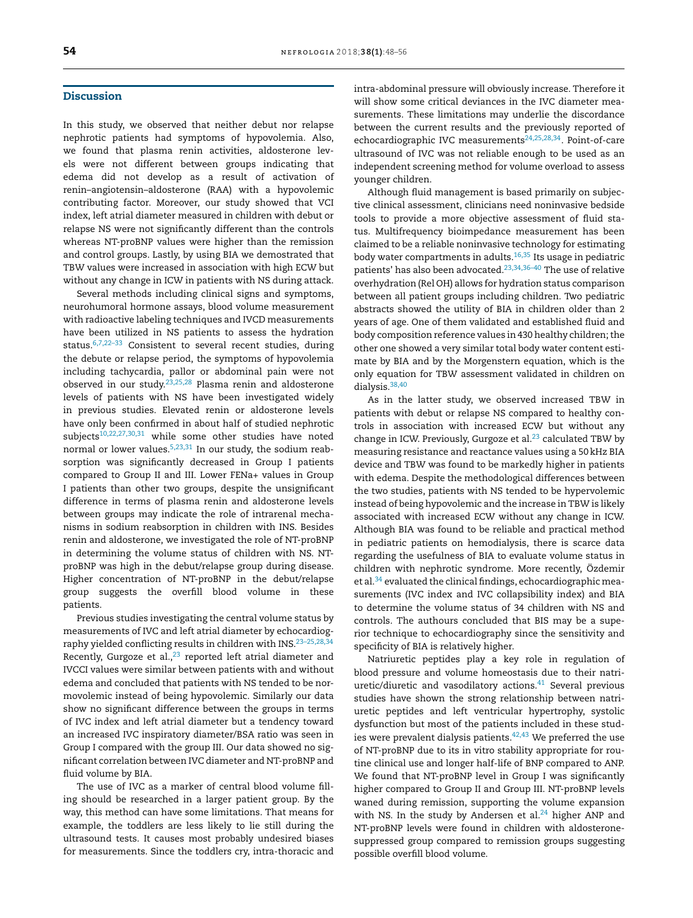# Discussion

In this study, we observed that neither debut nor relapse nephrotic patients had symptoms of hypovolemia. Also, we found that plasma renin activities, aldosterone levels were not different between groups indicating that edema did not develop as a result of activation of renin–angiotensin–aldosterone (RAA) with a hypovolemic contributing factor. Moreover, our study showed that VCI index, left atrial diameter measured in children with debut or relapse NS were not significantly different than the controls whereas NT-proBNP values were higher than the remission and control groups. Lastly, by using BIA we demostrated that TBW values were increased in association with high ECW but without any change in ICW in patients with NS during attack.

Several methods including clinical signs and symptoms, neurohumoral hormone assays, blood volume measurement with radioactive labeling techniques and IVCD measurements have been utilized in NS patients to assess the hydration status.<sup>6,7,22-33</sup> Consistent to several recent studies, during the debute or relapse period, the symptoms of hypovolemia including tachycardia, pallor or abdominal pain were not observed in our study.[23,25,28](#page-8-0) Plasma renin and aldosterone levels of patients with NS have been investigated widely in previous studies. Elevated renin or aldosterone levels have only been confirmed in about half of studied nephrotic subjects<sup>[10,22,27,30,31](#page-7-0)</sup> while some other studies have noted normal or lower values. $5,23,31$  In our study, the sodium reabsorption was significantly decreased in Group I patients compared to Group II and III. Lower FENa+ values in Group I patients than other two groups, despite the unsignificant difference in terms of plasma renin and aldosterone levels between groups may indicate the role of intrarenal mechanisms in sodium reabsorption in children with INS. Besides renin and aldosterone, we investigated the role of NT-proBNP in determining the volume status of children with NS. NTproBNP was high in the debut/relapse group during disease. Higher concentration of NT-proBNP in the debut/relapse group suggests the overfill blood volume in these patients.

Previous studies investigating the central volume status by measurements of IVC and left atrial diameter by echocardiography yielded conflicting results in children with INS.<sup>23-25,28,34</sup> Recently, Gurgoze et al., $^{23}$  $^{23}$  $^{23}$  reported left atrial diameter and IVCCI values were similar between patients with and without edema and concluded that patients with NS tended to be normovolemic instead of being hypovolemic. Similarly our data show no significant difference between the groups in terms of IVC index and left atrial diameter but a tendency toward an increased IVC inspiratory diameter/BSA ratio was seen in Group I compared with the group III. Our data showed no significant correlation between IVC diameter and NT-proBNP and fluid volume by BIA.

The use of IVC as a marker of central blood volume filling should be researched in a larger patient group. By the way, this method can have some limitations. That means for example, the toddlers are less likely to lie still during the ultrasound tests. It causes most probably undesired biases for measurements. Since the toddlers cry, intra-thoracic and intra-abdominal pressure will obviously increase. Therefore it will show some critical deviances in the IVC diameter measurements. These limitations may underlie the discordance between the current results and the previously reported of echocardiographic IVC measurements<sup>[24,25,28,34](#page-8-0)</sup>. Point-of-care ultrasound of IVC was not reliable enough to be used as an independent screening method for volume overload to assess younger children.

Although fluid management is based primarily on subjective clinical assessment, clinicians need noninvasive bedside tools to provide a more objective assessment of fluid status. Multifrequency bioimpedance measurement has been claimed to be a reliable noninvasive technology for estimating body water compartments in adults. $16,35$  Its usage in pediatric patients' has also been advocated.[23,34,36–40](#page-8-0) The use of relative overhydration (Rel OH) allows for hydration status comparison between all patient groups including children. Two pediatric abstracts showed the utility of BIA in children older than 2 years of age. One of them validated and established fluid and body composition reference values in 430 healthy children; the other one showed a very similar total body water content estimate by BIA and by the Morgenstern equation, which is the only equation for TBW assessment validated in children on dialysis.<sup>[38,40](#page-8-0)</sup>

As in the latter study, we observed increased TBW in patients with debut or relapse NS compared to healthy controls in association with increased ECW but without any change in ICW. Previously, Gurgoze et al. $^{23}$  $^{23}$  $^{23}$  calculated TBW by measuring resistance and reactance values using a 50 kHz BIA device and TBW was found to be markedly higher in patients with edema. Despite the methodological differences between the two studies, patients with NS tended to be hypervolemic instead of being hypovolemic and the increase in TBW is likely associated with increased ECW without any change in ICW. Although BIA was found to be reliable and practical method in pediatric patients on hemodialysis, there is scarce data regarding the usefulness of BIA to evaluate volume status in children with nephrotic syndrome. More recently, Özdemir et al.<sup>[34](#page-8-0)</sup> evaluated the clinical findings, echocardiographic measurements (IVC index and IVC collapsibility index) and BIA to determine the volume status of 34 children with NS and controls. The authours concluded that BIS may be a superior technique to echocardiography since the sensitivity and specificity of BIA is relatively higher.

Natriuretic peptides play a key role in regulation of blood pressure and volume homeostasis due to their natri-uretic/diuretic and vasodilatory actions.<sup>[41](#page-8-0)</sup> Several previous studies have shown the strong relationship between natriuretic peptides and left ventricular hypertrophy, systolic dysfunction but most of the patients included in these stud-ies were prevalent dialysis patients.<sup>[42,43](#page-8-0)</sup> We preferred the use of NT-proBNP due to its in vitro stability appropriate for routine clinical use and longer half-life of BNP compared to ANP. We found that NT-proBNP level in Group I was significantly higher compared to Group II and Group III. NT-proBNP levels waned during remission, supporting the volume expansion with NS. In the study by Andersen et al. $^{24}$  $^{24}$  $^{24}$  higher ANP and NT-proBNP levels were found in children with aldosteronesuppressed group compared to remission groups suggesting possible overfill blood volume.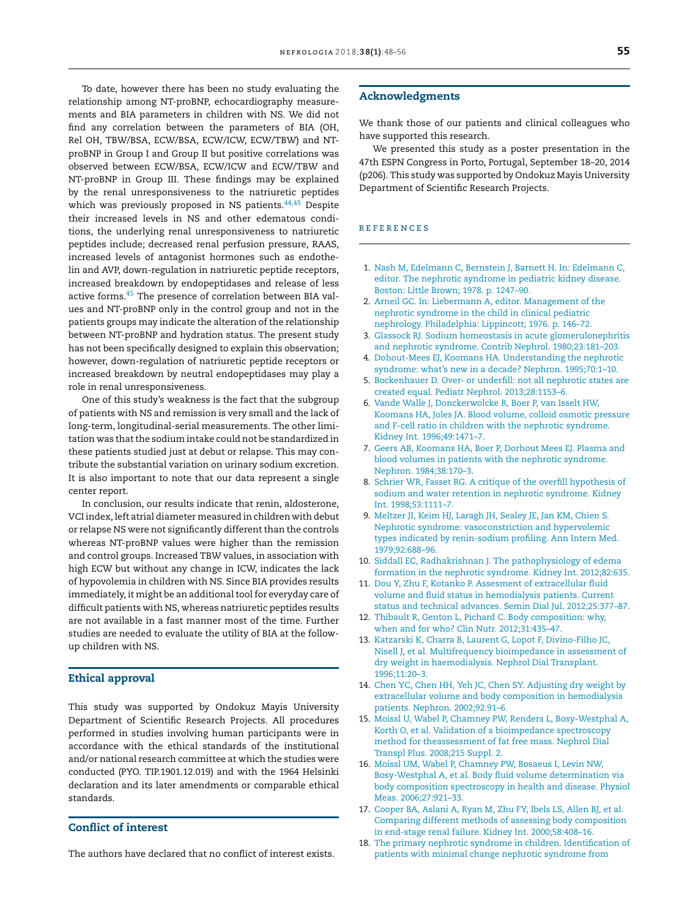<span id="page-7-0"></span>To date, however there has been no study evaluating the relationship among NT-proBNP, echocardiography measurements and BIA parameters in children with NS. We did not find any correlation between the parameters of BIA (OH, Rel OH, TBW/BSA, ECW/BSA, ECW/ICW, ECW/TBW) and NTproBNP in Group I and Group II but positive correlations was observed between ECW/BSA, ECW/ICW and ECW/TBW and NT-proBNP in Group III. These findings may be explained by the renal unresponsiveness to the natriuretic peptides which was previously proposed in NS patients. $44,45$  Despite their increased levels in NS and other edematous conditions, the underlying renal unresponsiveness to natriuretic peptides include; decreased renal perfusion pressure, RAAS, increased levels of antagonist hormones such as endothelin and AVP, down-regulation in natriuretic peptide receptors, increased breakdown by endopeptidases and release of less active forms.[45](#page-8-0) The presence of correlation between BIA values and NT-proBNP only in the control group and not in the patients groups may indicate the alteration of the relationship between NT-proBNP and hydration status. The present study has not been specifically designed to explain this observation; however, down-regulation of natriuretic peptide receptors or increased breakdown by neutral endopeptidases may play a role in renal unresponsiveness.

One of this study's weakness is the fact that the subgroup of patients with NS and remission is very small and the lack of long-term, longitudinal-serial measurements. The other limitation was that the sodium intake could not be standardized in these patients studied just at debut or relapse. This may contribute the substantial variation on urinary sodium excretion. It is also important to note that our data represent a single center report.

In conclusion, our results indicate that renin, aldosterone, VCI index, left atrial diameter measured in children with debut or relapse NS were not significantly different than the controls whereas NT-proBNP values were higher than the remission and control groups. Increased TBW values, in association with high ECW but without any change in ICW, indicates the lack of hypovolemia in children with NS. Since BIA provides results immediately, it might be an additional tool for everyday care of difficult patients with NS, whereas natriuretic peptides results are not available in a fast manner most of the time. Further studies are needed to evaluate the utility of BIA at the followup children with NS.

# Ethical approval

This study was supported by Ondokuz Mayis University Department of Scientific Research Projects. All procedures performed in studies involving human participants were in accordance with the ethical standards of the institutional and/or national research committee at which the studies were conducted (PYO. TIP.1901.12.019) and with the 1964 Helsinki declaration and its later amendments or comparable ethical standards.

# Conflict of interest

The authors have declared that no conflict of interest exists.

### Acknowledgments

We thank those of our patients and clinical colleagues who have supported this research.

We presented this study as a poster presentation in the 47th ESPN Congress in Porto, Portugal, September 18–20, 2014 (p206). This study was supported by Ondokuz Mayis University Department of Scientific Research Projects.

### **REFERENCES**

- 1. [Nash](http://refhub.elsevier.com/S0211-6995(17)30104-2/sbref0230) [M,](http://refhub.elsevier.com/S0211-6995(17)30104-2/sbref0230) [Edelmann](http://refhub.elsevier.com/S0211-6995(17)30104-2/sbref0230) [C,](http://refhub.elsevier.com/S0211-6995(17)30104-2/sbref0230) [Bernstein](http://refhub.elsevier.com/S0211-6995(17)30104-2/sbref0230) [J,](http://refhub.elsevier.com/S0211-6995(17)30104-2/sbref0230) [Barnett](http://refhub.elsevier.com/S0211-6995(17)30104-2/sbref0230) [H.](http://refhub.elsevier.com/S0211-6995(17)30104-2/sbref0230) [In:](http://refhub.elsevier.com/S0211-6995(17)30104-2/sbref0230) [Edelmann](http://refhub.elsevier.com/S0211-6995(17)30104-2/sbref0230) [C,](http://refhub.elsevier.com/S0211-6995(17)30104-2/sbref0230) [editor.](http://refhub.elsevier.com/S0211-6995(17)30104-2/sbref0230) [The](http://refhub.elsevier.com/S0211-6995(17)30104-2/sbref0230) [nephrotic](http://refhub.elsevier.com/S0211-6995(17)30104-2/sbref0230) [syndrome](http://refhub.elsevier.com/S0211-6995(17)30104-2/sbref0230) [in](http://refhub.elsevier.com/S0211-6995(17)30104-2/sbref0230) [pediatric](http://refhub.elsevier.com/S0211-6995(17)30104-2/sbref0230) [kidney](http://refhub.elsevier.com/S0211-6995(17)30104-2/sbref0230) [disease.](http://refhub.elsevier.com/S0211-6995(17)30104-2/sbref0230) [Boston:](http://refhub.elsevier.com/S0211-6995(17)30104-2/sbref0230) [Little](http://refhub.elsevier.com/S0211-6995(17)30104-2/sbref0230) [Brown;](http://refhub.elsevier.com/S0211-6995(17)30104-2/sbref0230) [1978.](http://refhub.elsevier.com/S0211-6995(17)30104-2/sbref0230) [p.](http://refhub.elsevier.com/S0211-6995(17)30104-2/sbref0230) [1247–90.](http://refhub.elsevier.com/S0211-6995(17)30104-2/sbref0230)
- 2. [Arneil](http://refhub.elsevier.com/S0211-6995(17)30104-2/sbref0235) [GC.](http://refhub.elsevier.com/S0211-6995(17)30104-2/sbref0235) [In:](http://refhub.elsevier.com/S0211-6995(17)30104-2/sbref0235) [Liebermann](http://refhub.elsevier.com/S0211-6995(17)30104-2/sbref0235) [A,](http://refhub.elsevier.com/S0211-6995(17)30104-2/sbref0235) [editor.](http://refhub.elsevier.com/S0211-6995(17)30104-2/sbref0235) [Management](http://refhub.elsevier.com/S0211-6995(17)30104-2/sbref0235) [of](http://refhub.elsevier.com/S0211-6995(17)30104-2/sbref0235) [the](http://refhub.elsevier.com/S0211-6995(17)30104-2/sbref0235) [nephrotic](http://refhub.elsevier.com/S0211-6995(17)30104-2/sbref0235) [syndrome](http://refhub.elsevier.com/S0211-6995(17)30104-2/sbref0235) [in](http://refhub.elsevier.com/S0211-6995(17)30104-2/sbref0235) [the](http://refhub.elsevier.com/S0211-6995(17)30104-2/sbref0235) [child](http://refhub.elsevier.com/S0211-6995(17)30104-2/sbref0235) [in](http://refhub.elsevier.com/S0211-6995(17)30104-2/sbref0235) [clinical](http://refhub.elsevier.com/S0211-6995(17)30104-2/sbref0235) [pediatric](http://refhub.elsevier.com/S0211-6995(17)30104-2/sbref0235) [nephrology.](http://refhub.elsevier.com/S0211-6995(17)30104-2/sbref0235) [Philadelphia:](http://refhub.elsevier.com/S0211-6995(17)30104-2/sbref0235) [Lippincott;](http://refhub.elsevier.com/S0211-6995(17)30104-2/sbref0235) [1976.](http://refhub.elsevier.com/S0211-6995(17)30104-2/sbref0235) [p.](http://refhub.elsevier.com/S0211-6995(17)30104-2/sbref0235) [146–72.](http://refhub.elsevier.com/S0211-6995(17)30104-2/sbref0235)
- 3. [Glassock](http://refhub.elsevier.com/S0211-6995(17)30104-2/sbref0240) [RJ.](http://refhub.elsevier.com/S0211-6995(17)30104-2/sbref0240) [Sodium](http://refhub.elsevier.com/S0211-6995(17)30104-2/sbref0240) [homeostasis](http://refhub.elsevier.com/S0211-6995(17)30104-2/sbref0240) [in](http://refhub.elsevier.com/S0211-6995(17)30104-2/sbref0240) [acute](http://refhub.elsevier.com/S0211-6995(17)30104-2/sbref0240) [glomerulonephritis](http://refhub.elsevier.com/S0211-6995(17)30104-2/sbref0240) [and](http://refhub.elsevier.com/S0211-6995(17)30104-2/sbref0240) [nephrotic](http://refhub.elsevier.com/S0211-6995(17)30104-2/sbref0240) [syndrome.](http://refhub.elsevier.com/S0211-6995(17)30104-2/sbref0240) [Contrib](http://refhub.elsevier.com/S0211-6995(17)30104-2/sbref0240) [Nephrol.](http://refhub.elsevier.com/S0211-6995(17)30104-2/sbref0240) [1980;23:181–203.](http://refhub.elsevier.com/S0211-6995(17)30104-2/sbref0240)
- 4. [Dohout-Mees](http://refhub.elsevier.com/S0211-6995(17)30104-2/sbref0245) [EJ,](http://refhub.elsevier.com/S0211-6995(17)30104-2/sbref0245) [Koomans](http://refhub.elsevier.com/S0211-6995(17)30104-2/sbref0245) [HA.](http://refhub.elsevier.com/S0211-6995(17)30104-2/sbref0245) [Understanding](http://refhub.elsevier.com/S0211-6995(17)30104-2/sbref0245) [the](http://refhub.elsevier.com/S0211-6995(17)30104-2/sbref0245) [nephrotic](http://refhub.elsevier.com/S0211-6995(17)30104-2/sbref0245) [syndrome:](http://refhub.elsevier.com/S0211-6995(17)30104-2/sbref0245) [what's](http://refhub.elsevier.com/S0211-6995(17)30104-2/sbref0245) [new](http://refhub.elsevier.com/S0211-6995(17)30104-2/sbref0245) [in](http://refhub.elsevier.com/S0211-6995(17)30104-2/sbref0245) [a](http://refhub.elsevier.com/S0211-6995(17)30104-2/sbref0245) [decade?](http://refhub.elsevier.com/S0211-6995(17)30104-2/sbref0245) [Nephron.](http://refhub.elsevier.com/S0211-6995(17)30104-2/sbref0245) [1995;70:1–10.](http://refhub.elsevier.com/S0211-6995(17)30104-2/sbref0245)
- 5. [Bockenhauer](http://refhub.elsevier.com/S0211-6995(17)30104-2/sbref0250) [D.](http://refhub.elsevier.com/S0211-6995(17)30104-2/sbref0250) [Over-](http://refhub.elsevier.com/S0211-6995(17)30104-2/sbref0250) [or](http://refhub.elsevier.com/S0211-6995(17)30104-2/sbref0250) [underfill:](http://refhub.elsevier.com/S0211-6995(17)30104-2/sbref0250) [not](http://refhub.elsevier.com/S0211-6995(17)30104-2/sbref0250) [all](http://refhub.elsevier.com/S0211-6995(17)30104-2/sbref0250) [nephrotic](http://refhub.elsevier.com/S0211-6995(17)30104-2/sbref0250) [states](http://refhub.elsevier.com/S0211-6995(17)30104-2/sbref0250) [are](http://refhub.elsevier.com/S0211-6995(17)30104-2/sbref0250) [created](http://refhub.elsevier.com/S0211-6995(17)30104-2/sbref0250) [equal.](http://refhub.elsevier.com/S0211-6995(17)30104-2/sbref0250) [Pediatr](http://refhub.elsevier.com/S0211-6995(17)30104-2/sbref0250) [Nephrol.](http://refhub.elsevier.com/S0211-6995(17)30104-2/sbref0250) [2013;28:1153–6.](http://refhub.elsevier.com/S0211-6995(17)30104-2/sbref0250)
- 6. [Vande](http://refhub.elsevier.com/S0211-6995(17)30104-2/sbref0255) [Walle](http://refhub.elsevier.com/S0211-6995(17)30104-2/sbref0255) [J,](http://refhub.elsevier.com/S0211-6995(17)30104-2/sbref0255) [Donckerwolcke](http://refhub.elsevier.com/S0211-6995(17)30104-2/sbref0255) [R,](http://refhub.elsevier.com/S0211-6995(17)30104-2/sbref0255) [Boer](http://refhub.elsevier.com/S0211-6995(17)30104-2/sbref0255) [P,](http://refhub.elsevier.com/S0211-6995(17)30104-2/sbref0255) [van](http://refhub.elsevier.com/S0211-6995(17)30104-2/sbref0255) [Isselt](http://refhub.elsevier.com/S0211-6995(17)30104-2/sbref0255) [HW,](http://refhub.elsevier.com/S0211-6995(17)30104-2/sbref0255) [Koomans](http://refhub.elsevier.com/S0211-6995(17)30104-2/sbref0255) [HA,](http://refhub.elsevier.com/S0211-6995(17)30104-2/sbref0255) [Joles](http://refhub.elsevier.com/S0211-6995(17)30104-2/sbref0255) [JA.](http://refhub.elsevier.com/S0211-6995(17)30104-2/sbref0255) [Blood](http://refhub.elsevier.com/S0211-6995(17)30104-2/sbref0255) [volume,](http://refhub.elsevier.com/S0211-6995(17)30104-2/sbref0255) [colloid](http://refhub.elsevier.com/S0211-6995(17)30104-2/sbref0255) [osmotic](http://refhub.elsevier.com/S0211-6995(17)30104-2/sbref0255) [pressure](http://refhub.elsevier.com/S0211-6995(17)30104-2/sbref0255) [and](http://refhub.elsevier.com/S0211-6995(17)30104-2/sbref0255) [F-cell](http://refhub.elsevier.com/S0211-6995(17)30104-2/sbref0255) [ratio](http://refhub.elsevier.com/S0211-6995(17)30104-2/sbref0255) [in](http://refhub.elsevier.com/S0211-6995(17)30104-2/sbref0255) [children](http://refhub.elsevier.com/S0211-6995(17)30104-2/sbref0255) [with](http://refhub.elsevier.com/S0211-6995(17)30104-2/sbref0255) [the](http://refhub.elsevier.com/S0211-6995(17)30104-2/sbref0255) [nephrotic](http://refhub.elsevier.com/S0211-6995(17)30104-2/sbref0255) [syndrome](http://refhub.elsevier.com/S0211-6995(17)30104-2/sbref0255). [Kidney](http://refhub.elsevier.com/S0211-6995(17)30104-2/sbref0255) [Int.](http://refhub.elsevier.com/S0211-6995(17)30104-2/sbref0255) [1996;49:1471–7.](http://refhub.elsevier.com/S0211-6995(17)30104-2/sbref0255)
- 7. [Geers](http://refhub.elsevier.com/S0211-6995(17)30104-2/sbref0260) [AB,](http://refhub.elsevier.com/S0211-6995(17)30104-2/sbref0260) [Koomans](http://refhub.elsevier.com/S0211-6995(17)30104-2/sbref0260) [HA,](http://refhub.elsevier.com/S0211-6995(17)30104-2/sbref0260) [Boer](http://refhub.elsevier.com/S0211-6995(17)30104-2/sbref0260) [P,](http://refhub.elsevier.com/S0211-6995(17)30104-2/sbref0260) [Dorhout](http://refhub.elsevier.com/S0211-6995(17)30104-2/sbref0260) [Mees](http://refhub.elsevier.com/S0211-6995(17)30104-2/sbref0260) [EJ.](http://refhub.elsevier.com/S0211-6995(17)30104-2/sbref0260) [Plasma](http://refhub.elsevier.com/S0211-6995(17)30104-2/sbref0260) [and](http://refhub.elsevier.com/S0211-6995(17)30104-2/sbref0260) [blood](http://refhub.elsevier.com/S0211-6995(17)30104-2/sbref0260) [volumes](http://refhub.elsevier.com/S0211-6995(17)30104-2/sbref0260) [in](http://refhub.elsevier.com/S0211-6995(17)30104-2/sbref0260) [patients](http://refhub.elsevier.com/S0211-6995(17)30104-2/sbref0260) [with](http://refhub.elsevier.com/S0211-6995(17)30104-2/sbref0260) [the](http://refhub.elsevier.com/S0211-6995(17)30104-2/sbref0260) [nephrotic](http://refhub.elsevier.com/S0211-6995(17)30104-2/sbref0260) [syndrome.](http://refhub.elsevier.com/S0211-6995(17)30104-2/sbref0260) [Nephron.](http://refhub.elsevier.com/S0211-6995(17)30104-2/sbref0260) [1984;38:170](http://refhub.elsevier.com/S0211-6995(17)30104-2/sbref0260)–[3.](http://refhub.elsevier.com/S0211-6995(17)30104-2/sbref0260)
- 8. [Schrier](http://refhub.elsevier.com/S0211-6995(17)30104-2/sbref0265) [WR,](http://refhub.elsevier.com/S0211-6995(17)30104-2/sbref0265) [Fasset](http://refhub.elsevier.com/S0211-6995(17)30104-2/sbref0265) [RG.](http://refhub.elsevier.com/S0211-6995(17)30104-2/sbref0265) [A](http://refhub.elsevier.com/S0211-6995(17)30104-2/sbref0265) [critique](http://refhub.elsevier.com/S0211-6995(17)30104-2/sbref0265) [of](http://refhub.elsevier.com/S0211-6995(17)30104-2/sbref0265) [the](http://refhub.elsevier.com/S0211-6995(17)30104-2/sbref0265) [overfill](http://refhub.elsevier.com/S0211-6995(17)30104-2/sbref0265) [hypothesis](http://refhub.elsevier.com/S0211-6995(17)30104-2/sbref0265) [of](http://refhub.elsevier.com/S0211-6995(17)30104-2/sbref0265) [sodium](http://refhub.elsevier.com/S0211-6995(17)30104-2/sbref0265) [and](http://refhub.elsevier.com/S0211-6995(17)30104-2/sbref0265) [water](http://refhub.elsevier.com/S0211-6995(17)30104-2/sbref0265) [retention](http://refhub.elsevier.com/S0211-6995(17)30104-2/sbref0265) [in](http://refhub.elsevier.com/S0211-6995(17)30104-2/sbref0265) [nephrotic](http://refhub.elsevier.com/S0211-6995(17)30104-2/sbref0265) [syndrome.](http://refhub.elsevier.com/S0211-6995(17)30104-2/sbref0265) [Kidney](http://refhub.elsevier.com/S0211-6995(17)30104-2/sbref0265) [Int.](http://refhub.elsevier.com/S0211-6995(17)30104-2/sbref0265) [1998;53:1111](http://refhub.elsevier.com/S0211-6995(17)30104-2/sbref0265)–[7.](http://refhub.elsevier.com/S0211-6995(17)30104-2/sbref0265)
- 9. [Meltzer](http://refhub.elsevier.com/S0211-6995(17)30104-2/sbref0270) [JI,](http://refhub.elsevier.com/S0211-6995(17)30104-2/sbref0270) [Keim](http://refhub.elsevier.com/S0211-6995(17)30104-2/sbref0270) [HJ,](http://refhub.elsevier.com/S0211-6995(17)30104-2/sbref0270) [Laragh](http://refhub.elsevier.com/S0211-6995(17)30104-2/sbref0270) [JH,](http://refhub.elsevier.com/S0211-6995(17)30104-2/sbref0270) [Sealey](http://refhub.elsevier.com/S0211-6995(17)30104-2/sbref0270) [JE,](http://refhub.elsevier.com/S0211-6995(17)30104-2/sbref0270) [Jan](http://refhub.elsevier.com/S0211-6995(17)30104-2/sbref0270) [KM,](http://refhub.elsevier.com/S0211-6995(17)30104-2/sbref0270) [Chien](http://refhub.elsevier.com/S0211-6995(17)30104-2/sbref0270) [S.](http://refhub.elsevier.com/S0211-6995(17)30104-2/sbref0270) [Nephrotic](http://refhub.elsevier.com/S0211-6995(17)30104-2/sbref0270) [syndrome:](http://refhub.elsevier.com/S0211-6995(17)30104-2/sbref0270) [vasoconstriction](http://refhub.elsevier.com/S0211-6995(17)30104-2/sbref0270) [and](http://refhub.elsevier.com/S0211-6995(17)30104-2/sbref0270) [hypervolemic](http://refhub.elsevier.com/S0211-6995(17)30104-2/sbref0270) [types](http://refhub.elsevier.com/S0211-6995(17)30104-2/sbref0270) [indicated](http://refhub.elsevier.com/S0211-6995(17)30104-2/sbref0270) [by](http://refhub.elsevier.com/S0211-6995(17)30104-2/sbref0270) [renin-sodium](http://refhub.elsevier.com/S0211-6995(17)30104-2/sbref0270) [profiling.](http://refhub.elsevier.com/S0211-6995(17)30104-2/sbref0270) [Ann](http://refhub.elsevier.com/S0211-6995(17)30104-2/sbref0270) [Intern](http://refhub.elsevier.com/S0211-6995(17)30104-2/sbref0270) [Med.](http://refhub.elsevier.com/S0211-6995(17)30104-2/sbref0270) [1979;92:688–96.](http://refhub.elsevier.com/S0211-6995(17)30104-2/sbref0270)
- 10. [Siddall](http://refhub.elsevier.com/S0211-6995(17)30104-2/sbref0275) [EC,](http://refhub.elsevier.com/S0211-6995(17)30104-2/sbref0275) [Radhakrishnan](http://refhub.elsevier.com/S0211-6995(17)30104-2/sbref0275) [J.](http://refhub.elsevier.com/S0211-6995(17)30104-2/sbref0275) [The](http://refhub.elsevier.com/S0211-6995(17)30104-2/sbref0275) [pathophysiology](http://refhub.elsevier.com/S0211-6995(17)30104-2/sbref0275) [of](http://refhub.elsevier.com/S0211-6995(17)30104-2/sbref0275) [edema](http://refhub.elsevier.com/S0211-6995(17)30104-2/sbref0275) [formation](http://refhub.elsevier.com/S0211-6995(17)30104-2/sbref0275) [in](http://refhub.elsevier.com/S0211-6995(17)30104-2/sbref0275) [the](http://refhub.elsevier.com/S0211-6995(17)30104-2/sbref0275) [nephrotic](http://refhub.elsevier.com/S0211-6995(17)30104-2/sbref0275) [syndrome.](http://refhub.elsevier.com/S0211-6995(17)30104-2/sbref0275) [Kidney](http://refhub.elsevier.com/S0211-6995(17)30104-2/sbref0275) [Int.](http://refhub.elsevier.com/S0211-6995(17)30104-2/sbref0275) [2012;82:635.](http://refhub.elsevier.com/S0211-6995(17)30104-2/sbref0275)
- 11. [Dou](http://refhub.elsevier.com/S0211-6995(17)30104-2/sbref0280) [Y,](http://refhub.elsevier.com/S0211-6995(17)30104-2/sbref0280) [Zhu](http://refhub.elsevier.com/S0211-6995(17)30104-2/sbref0280) [F,](http://refhub.elsevier.com/S0211-6995(17)30104-2/sbref0280) [Kotanko](http://refhub.elsevier.com/S0211-6995(17)30104-2/sbref0280) [P.](http://refhub.elsevier.com/S0211-6995(17)30104-2/sbref0280) [Assesment](http://refhub.elsevier.com/S0211-6995(17)30104-2/sbref0280) [of](http://refhub.elsevier.com/S0211-6995(17)30104-2/sbref0280) [extracellular](http://refhub.elsevier.com/S0211-6995(17)30104-2/sbref0280) [fluid](http://refhub.elsevier.com/S0211-6995(17)30104-2/sbref0280) [volume](http://refhub.elsevier.com/S0211-6995(17)30104-2/sbref0280) [and](http://refhub.elsevier.com/S0211-6995(17)30104-2/sbref0280) [fluid](http://refhub.elsevier.com/S0211-6995(17)30104-2/sbref0280) [status](http://refhub.elsevier.com/S0211-6995(17)30104-2/sbref0280) [in](http://refhub.elsevier.com/S0211-6995(17)30104-2/sbref0280) [hemodialysis](http://refhub.elsevier.com/S0211-6995(17)30104-2/sbref0280) [patients.](http://refhub.elsevier.com/S0211-6995(17)30104-2/sbref0280) [Current](http://refhub.elsevier.com/S0211-6995(17)30104-2/sbref0280) [status](http://refhub.elsevier.com/S0211-6995(17)30104-2/sbref0280) [and](http://refhub.elsevier.com/S0211-6995(17)30104-2/sbref0280) [technical](http://refhub.elsevier.com/S0211-6995(17)30104-2/sbref0280) [advances.](http://refhub.elsevier.com/S0211-6995(17)30104-2/sbref0280) [Semin](http://refhub.elsevier.com/S0211-6995(17)30104-2/sbref0280) [Dial](http://refhub.elsevier.com/S0211-6995(17)30104-2/sbref0280) [Jul.](http://refhub.elsevier.com/S0211-6995(17)30104-2/sbref0280) [2012;25:377–87.](http://refhub.elsevier.com/S0211-6995(17)30104-2/sbref0280)
- 12. [Thibault](http://refhub.elsevier.com/S0211-6995(17)30104-2/sbref0285) [R,](http://refhub.elsevier.com/S0211-6995(17)30104-2/sbref0285) [Genton](http://refhub.elsevier.com/S0211-6995(17)30104-2/sbref0285) [L,](http://refhub.elsevier.com/S0211-6995(17)30104-2/sbref0285) [Pichard](http://refhub.elsevier.com/S0211-6995(17)30104-2/sbref0285) [C.](http://refhub.elsevier.com/S0211-6995(17)30104-2/sbref0285) [Body](http://refhub.elsevier.com/S0211-6995(17)30104-2/sbref0285) [composition:](http://refhub.elsevier.com/S0211-6995(17)30104-2/sbref0285) [why,](http://refhub.elsevier.com/S0211-6995(17)30104-2/sbref0285) [when](http://refhub.elsevier.com/S0211-6995(17)30104-2/sbref0285) [and](http://refhub.elsevier.com/S0211-6995(17)30104-2/sbref0285) [for](http://refhub.elsevier.com/S0211-6995(17)30104-2/sbref0285) [who?](http://refhub.elsevier.com/S0211-6995(17)30104-2/sbref0285) [Clin](http://refhub.elsevier.com/S0211-6995(17)30104-2/sbref0285) [Nutr.](http://refhub.elsevier.com/S0211-6995(17)30104-2/sbref0285) [2012;31:435–47.](http://refhub.elsevier.com/S0211-6995(17)30104-2/sbref0285)
- 13. [Katzarski](http://refhub.elsevier.com/S0211-6995(17)30104-2/sbref0290) [K,](http://refhub.elsevier.com/S0211-6995(17)30104-2/sbref0290) [Charra](http://refhub.elsevier.com/S0211-6995(17)30104-2/sbref0290) [B,](http://refhub.elsevier.com/S0211-6995(17)30104-2/sbref0290) [Laurent](http://refhub.elsevier.com/S0211-6995(17)30104-2/sbref0290) [G,](http://refhub.elsevier.com/S0211-6995(17)30104-2/sbref0290) [Lopot](http://refhub.elsevier.com/S0211-6995(17)30104-2/sbref0290) [F,](http://refhub.elsevier.com/S0211-6995(17)30104-2/sbref0290) [Divino-Filho](http://refhub.elsevier.com/S0211-6995(17)30104-2/sbref0290) [JC,](http://refhub.elsevier.com/S0211-6995(17)30104-2/sbref0290) [Nisell](http://refhub.elsevier.com/S0211-6995(17)30104-2/sbref0290) [J,](http://refhub.elsevier.com/S0211-6995(17)30104-2/sbref0290) [et](http://refhub.elsevier.com/S0211-6995(17)30104-2/sbref0290) [al.](http://refhub.elsevier.com/S0211-6995(17)30104-2/sbref0290) [Multifrequency](http://refhub.elsevier.com/S0211-6995(17)30104-2/sbref0290) [bioimpedance](http://refhub.elsevier.com/S0211-6995(17)30104-2/sbref0290) [in](http://refhub.elsevier.com/S0211-6995(17)30104-2/sbref0290) [assessment](http://refhub.elsevier.com/S0211-6995(17)30104-2/sbref0290) [of](http://refhub.elsevier.com/S0211-6995(17)30104-2/sbref0290) [dry](http://refhub.elsevier.com/S0211-6995(17)30104-2/sbref0290) [weight](http://refhub.elsevier.com/S0211-6995(17)30104-2/sbref0290) [in](http://refhub.elsevier.com/S0211-6995(17)30104-2/sbref0290) [haemodialysis.](http://refhub.elsevier.com/S0211-6995(17)30104-2/sbref0290) [Nephrol](http://refhub.elsevier.com/S0211-6995(17)30104-2/sbref0290) [Dial](http://refhub.elsevier.com/S0211-6995(17)30104-2/sbref0290) [Transplant.](http://refhub.elsevier.com/S0211-6995(17)30104-2/sbref0290) [1996;11:20–3.](http://refhub.elsevier.com/S0211-6995(17)30104-2/sbref0290)
- 14. [Chen](http://refhub.elsevier.com/S0211-6995(17)30104-2/sbref0295) [YC,](http://refhub.elsevier.com/S0211-6995(17)30104-2/sbref0295) [Chen](http://refhub.elsevier.com/S0211-6995(17)30104-2/sbref0295) [HH,](http://refhub.elsevier.com/S0211-6995(17)30104-2/sbref0295) [Yeh](http://refhub.elsevier.com/S0211-6995(17)30104-2/sbref0295) [JC,](http://refhub.elsevier.com/S0211-6995(17)30104-2/sbref0295) [Chen](http://refhub.elsevier.com/S0211-6995(17)30104-2/sbref0295) [SY.](http://refhub.elsevier.com/S0211-6995(17)30104-2/sbref0295) [Adjusting](http://refhub.elsevier.com/S0211-6995(17)30104-2/sbref0295) [dry](http://refhub.elsevier.com/S0211-6995(17)30104-2/sbref0295) [weight](http://refhub.elsevier.com/S0211-6995(17)30104-2/sbref0295) [by](http://refhub.elsevier.com/S0211-6995(17)30104-2/sbref0295) [extracellular](http://refhub.elsevier.com/S0211-6995(17)30104-2/sbref0295) [volume](http://refhub.elsevier.com/S0211-6995(17)30104-2/sbref0295) [and](http://refhub.elsevier.com/S0211-6995(17)30104-2/sbref0295) [body](http://refhub.elsevier.com/S0211-6995(17)30104-2/sbref0295) [composition](http://refhub.elsevier.com/S0211-6995(17)30104-2/sbref0295) [in](http://refhub.elsevier.com/S0211-6995(17)30104-2/sbref0295) [hemodialysis](http://refhub.elsevier.com/S0211-6995(17)30104-2/sbref0295) [patients.](http://refhub.elsevier.com/S0211-6995(17)30104-2/sbref0295) [Nephron.](http://refhub.elsevier.com/S0211-6995(17)30104-2/sbref0295) [2002;92:91–6.](http://refhub.elsevier.com/S0211-6995(17)30104-2/sbref0295)
- 15. [Moissl](http://refhub.elsevier.com/S0211-6995(17)30104-2/sbref0300) [U,](http://refhub.elsevier.com/S0211-6995(17)30104-2/sbref0300) [Wabel](http://refhub.elsevier.com/S0211-6995(17)30104-2/sbref0300) [P,](http://refhub.elsevier.com/S0211-6995(17)30104-2/sbref0300) [Chamney](http://refhub.elsevier.com/S0211-6995(17)30104-2/sbref0300) [PW,](http://refhub.elsevier.com/S0211-6995(17)30104-2/sbref0300) [Renders](http://refhub.elsevier.com/S0211-6995(17)30104-2/sbref0300) [L,](http://refhub.elsevier.com/S0211-6995(17)30104-2/sbref0300) [Bosy-Westphal](http://refhub.elsevier.com/S0211-6995(17)30104-2/sbref0300) [A,](http://refhub.elsevier.com/S0211-6995(17)30104-2/sbref0300) [Korth](http://refhub.elsevier.com/S0211-6995(17)30104-2/sbref0300) [O,](http://refhub.elsevier.com/S0211-6995(17)30104-2/sbref0300) [et](http://refhub.elsevier.com/S0211-6995(17)30104-2/sbref0300) [al.](http://refhub.elsevier.com/S0211-6995(17)30104-2/sbref0300) [Validation](http://refhub.elsevier.com/S0211-6995(17)30104-2/sbref0300) [of](http://refhub.elsevier.com/S0211-6995(17)30104-2/sbref0300) [a](http://refhub.elsevier.com/S0211-6995(17)30104-2/sbref0300) [bioimpedance](http://refhub.elsevier.com/S0211-6995(17)30104-2/sbref0300) [spectroscopy](http://refhub.elsevier.com/S0211-6995(17)30104-2/sbref0300) [method](http://refhub.elsevier.com/S0211-6995(17)30104-2/sbref0300) [for](http://refhub.elsevier.com/S0211-6995(17)30104-2/sbref0300) [theassessment](http://refhub.elsevier.com/S0211-6995(17)30104-2/sbref0300) [of](http://refhub.elsevier.com/S0211-6995(17)30104-2/sbref0300) [fat](http://refhub.elsevier.com/S0211-6995(17)30104-2/sbref0300) [free](http://refhub.elsevier.com/S0211-6995(17)30104-2/sbref0300) [mass.](http://refhub.elsevier.com/S0211-6995(17)30104-2/sbref0300) [Nephrol](http://refhub.elsevier.com/S0211-6995(17)30104-2/sbref0300) [Dial](http://refhub.elsevier.com/S0211-6995(17)30104-2/sbref0300) [Transpl](http://refhub.elsevier.com/S0211-6995(17)30104-2/sbref0300) [Plus.](http://refhub.elsevier.com/S0211-6995(17)30104-2/sbref0300) [2008;215](http://refhub.elsevier.com/S0211-6995(17)30104-2/sbref0300) [Suppl.](http://refhub.elsevier.com/S0211-6995(17)30104-2/sbref0300) [2.](http://refhub.elsevier.com/S0211-6995(17)30104-2/sbref0300)
- 16. [Moissl](http://refhub.elsevier.com/S0211-6995(17)30104-2/sbref0305) [UM,](http://refhub.elsevier.com/S0211-6995(17)30104-2/sbref0305) [Wabel](http://refhub.elsevier.com/S0211-6995(17)30104-2/sbref0305) [P,](http://refhub.elsevier.com/S0211-6995(17)30104-2/sbref0305) [Chamney](http://refhub.elsevier.com/S0211-6995(17)30104-2/sbref0305) [PW,](http://refhub.elsevier.com/S0211-6995(17)30104-2/sbref0305) [Bosaeus](http://refhub.elsevier.com/S0211-6995(17)30104-2/sbref0305) [I,](http://refhub.elsevier.com/S0211-6995(17)30104-2/sbref0305) [Levin](http://refhub.elsevier.com/S0211-6995(17)30104-2/sbref0305) [NW,](http://refhub.elsevier.com/S0211-6995(17)30104-2/sbref0305) [Bosy-Westphal](http://refhub.elsevier.com/S0211-6995(17)30104-2/sbref0305) [A,](http://refhub.elsevier.com/S0211-6995(17)30104-2/sbref0305) [et](http://refhub.elsevier.com/S0211-6995(17)30104-2/sbref0305) [al.](http://refhub.elsevier.com/S0211-6995(17)30104-2/sbref0305) [Body](http://refhub.elsevier.com/S0211-6995(17)30104-2/sbref0305) [fluid](http://refhub.elsevier.com/S0211-6995(17)30104-2/sbref0305) [volume](http://refhub.elsevier.com/S0211-6995(17)30104-2/sbref0305) [determination](http://refhub.elsevier.com/S0211-6995(17)30104-2/sbref0305) [via](http://refhub.elsevier.com/S0211-6995(17)30104-2/sbref0305) [body](http://refhub.elsevier.com/S0211-6995(17)30104-2/sbref0305) [composition](http://refhub.elsevier.com/S0211-6995(17)30104-2/sbref0305) [spectroscopy](http://refhub.elsevier.com/S0211-6995(17)30104-2/sbref0305) [in](http://refhub.elsevier.com/S0211-6995(17)30104-2/sbref0305) [health](http://refhub.elsevier.com/S0211-6995(17)30104-2/sbref0305) [and](http://refhub.elsevier.com/S0211-6995(17)30104-2/sbref0305) [disease.](http://refhub.elsevier.com/S0211-6995(17)30104-2/sbref0305) [Physiol](http://refhub.elsevier.com/S0211-6995(17)30104-2/sbref0305) [Meas.](http://refhub.elsevier.com/S0211-6995(17)30104-2/sbref0305) [2006;27:921](http://refhub.elsevier.com/S0211-6995(17)30104-2/sbref0305)–[33.](http://refhub.elsevier.com/S0211-6995(17)30104-2/sbref0305)
- 17. [Cooper](http://refhub.elsevier.com/S0211-6995(17)30104-2/sbref0310) [BA,](http://refhub.elsevier.com/S0211-6995(17)30104-2/sbref0310) [Aslani](http://refhub.elsevier.com/S0211-6995(17)30104-2/sbref0310) [A,](http://refhub.elsevier.com/S0211-6995(17)30104-2/sbref0310) [Ryan](http://refhub.elsevier.com/S0211-6995(17)30104-2/sbref0310) [M,](http://refhub.elsevier.com/S0211-6995(17)30104-2/sbref0310) [Zhu](http://refhub.elsevier.com/S0211-6995(17)30104-2/sbref0310) [FY,](http://refhub.elsevier.com/S0211-6995(17)30104-2/sbref0310) [Ibels](http://refhub.elsevier.com/S0211-6995(17)30104-2/sbref0310) [LS,](http://refhub.elsevier.com/S0211-6995(17)30104-2/sbref0310) [Allen](http://refhub.elsevier.com/S0211-6995(17)30104-2/sbref0310) [BJ,](http://refhub.elsevier.com/S0211-6995(17)30104-2/sbref0310) [et](http://refhub.elsevier.com/S0211-6995(17)30104-2/sbref0310) [al.](http://refhub.elsevier.com/S0211-6995(17)30104-2/sbref0310) [Comparing](http://refhub.elsevier.com/S0211-6995(17)30104-2/sbref0310) [different](http://refhub.elsevier.com/S0211-6995(17)30104-2/sbref0310) [methods](http://refhub.elsevier.com/S0211-6995(17)30104-2/sbref0310) [of](http://refhub.elsevier.com/S0211-6995(17)30104-2/sbref0310) [assessing](http://refhub.elsevier.com/S0211-6995(17)30104-2/sbref0310) [body](http://refhub.elsevier.com/S0211-6995(17)30104-2/sbref0310) [composition](http://refhub.elsevier.com/S0211-6995(17)30104-2/sbref0310) [in](http://refhub.elsevier.com/S0211-6995(17)30104-2/sbref0310) [end-stage](http://refhub.elsevier.com/S0211-6995(17)30104-2/sbref0310) [renal](http://refhub.elsevier.com/S0211-6995(17)30104-2/sbref0310) [failure.](http://refhub.elsevier.com/S0211-6995(17)30104-2/sbref0310) [Kidney](http://refhub.elsevier.com/S0211-6995(17)30104-2/sbref0310) [Int.](http://refhub.elsevier.com/S0211-6995(17)30104-2/sbref0310) [2000;58:408](http://refhub.elsevier.com/S0211-6995(17)30104-2/sbref0310)–[16.](http://refhub.elsevier.com/S0211-6995(17)30104-2/sbref0310)
- 18. [The](http://refhub.elsevier.com/S0211-6995(17)30104-2/sbref0315) [primary](http://refhub.elsevier.com/S0211-6995(17)30104-2/sbref0315) [nephrotic](http://refhub.elsevier.com/S0211-6995(17)30104-2/sbref0315) [syndrome](http://refhub.elsevier.com/S0211-6995(17)30104-2/sbref0315) [in](http://refhub.elsevier.com/S0211-6995(17)30104-2/sbref0315) [children.](http://refhub.elsevier.com/S0211-6995(17)30104-2/sbref0315) [Identification](http://refhub.elsevier.com/S0211-6995(17)30104-2/sbref0315) [of](http://refhub.elsevier.com/S0211-6995(17)30104-2/sbref0315) [patients](http://refhub.elsevier.com/S0211-6995(17)30104-2/sbref0315) [with](http://refhub.elsevier.com/S0211-6995(17)30104-2/sbref0315) [minimal](http://refhub.elsevier.com/S0211-6995(17)30104-2/sbref0315) [change](http://refhub.elsevier.com/S0211-6995(17)30104-2/sbref0315) [nephrotic](http://refhub.elsevier.com/S0211-6995(17)30104-2/sbref0315) [syndrome](http://refhub.elsevier.com/S0211-6995(17)30104-2/sbref0315) [from](http://refhub.elsevier.com/S0211-6995(17)30104-2/sbref0315)